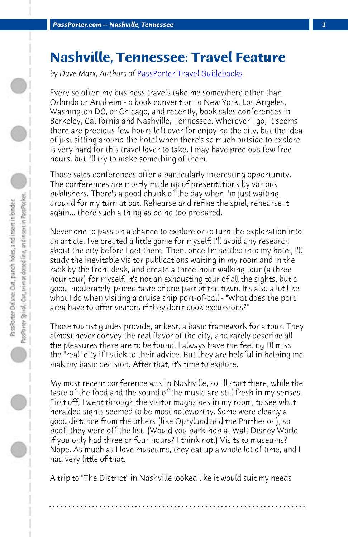**PassPorter.com -- Nashville, Tennessee** 

## **Nashville, Tennessee: Travel Feature**

*by Dave Marx, Authors of* PassPorter Travel Guidebooks

Every so often my business travels take me somewhere other than Orlando or Anaheim - a book convention in New York, Los Angeles, Washington DC, or Chicago; and recently, book sales conferences in Berkeley, California and Nashville, Tennessee. Wherever I go, it seems there are precious few hours left over for enjoying the city, but the idea of just sitting around the hotel when there's so much outside to explore is very hard for this travel lover to take. I may have precious few free hours, but I'll try to make something of them.

Those sales conferences offer a particularly interesting opportunity. The conferences are mostly made up of presentations by various publishers. There's a good chunk of the day when I'm just waiting around for my turn at bat. Rehearse and refine the spiel, rehearse it again... there such a thing as being too prepared.

Never one to pass up a chance to explore or to turn the exploration into an article, I've created a little game for myself: I'll avoid any research about the city before I get there. Then, once I'm settled into my hotel, I'll study the inevitable visitor publications waiting in my room and in the rack by the front desk, and create a three-hour walking tour (a three hour tour) for myself. It's not an exhausting tour of all the sights, but a good, moderately-priced taste of one part of the town. It's also a lot like what I do when visiting a cruise ship port-of-call - "What does the port area have to offer visitors if they don't book excursions?"

Those tourist guides provide, at best, a basic framework for a tour. They almost never convey the real flavor of the city, and rarely describe all the pleasures there are to be found. I always have the feeling I'll miss the "real" city if I stick to their advice. But they are helpful in helping me mak my basic decision. After that, it's time to explore.

My most recent conference was in Nashville, so I'll start there, while the taste of the food and the sound of the music are still fresh in my senses. First off, I went through the visitor magazines in my room, to see what heralded sights seemed to be most noteworthy. Some were clearly a good distance from the others (like Opryland and the Parthenon), so poof, they were off the list. (Would you park-hop at Walt Disney World if you only had three or four hours? I think not.) Visits to museums? Nope. As much as I love museums, they eat up a whole lot of time, and I had very little of that.

A trip to "The District" in Nashville looked like it would suit my needs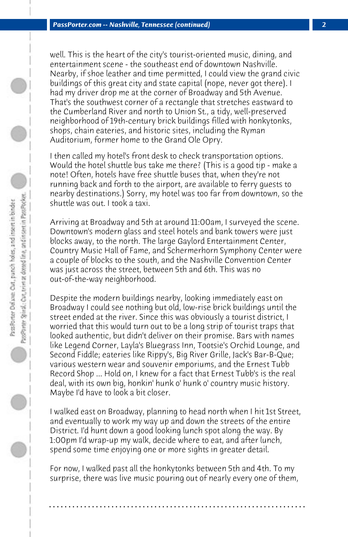well. This is the heart of the city's tourist-oriented music, dining, and entertainment scene - the southeast end of downtown Nashville. Nearby, if shoe leather and time permitted, I could view the grand civic buildings of this great city and state capital (nope, never got there). I had my driver drop me at the corner of Broadway and 5th Avenue. That's the southwest corner of a rectangle that stretches eastward to the Cumberland River and north to Union St., a tidy, well-preserved neighborhood of 19th-century brick buildings filled with honkytonks, shops, chain eateries, and historic sites, including the Ryman Auditorium, former home to the Grand Ole Opry.

I then called my hotel's front desk to check transportation options. Would the hotel shuttle bus take me there? (This is a good tip - make a note! Often, hotels have free shuttle buses that, when they're not running back and forth to the airport, are available to ferry guests to nearby destinations.) Sorry, my hotel was too far from downtown, so the shuttle was out. I took a taxi.

Arriving at Broadway and 5th at around 11:00am, I surveyed the scene. Downtown's modern glass and steel hotels and bank towers were just blocks away, to the north. The large Gaylord Entertainment Center, Country Music Hall of Fame, and Schermerhorn Symphony Center were a couple of blocks to the south, and the Nashville Convention Center was just across the street, between 5th and 6th. This was no out-of-the-way neighborhood.

Despite the modern buildings nearby, looking immediately east on Broadway I could see nothing but old, low-rise brick buildings until the street ended at the river. Since this was obviously a tourist district, I worried that this would turn out to be a long strip of tourist traps that looked authentic, but didn't deliver on their promise. Bars with names like Legend Corner, Layla's Bluegrass Inn, Tootsie's Orchid Lounge, and Second Fiddle; eateries like Rippy's, Big River Grille, Jack's Bar-B-Que; various western wear and souvenir emporiums, and the Ernest Tubb Record Shop ... Hold on, I knew for a fact that Ernest Tubb's is the real deal, with its own big, honkin' hunk o' hunk o' country music history. Maybe I'd have to look a bit closer.

I walked east on Broadway, planning to head north when I hit 1st Street, and eventually to work my way up and down the streets of the entire District. I'd hunt down a good looking lunch spot along the way. By 1:00pm I'd wrap-up my walk, decide where to eat, and after lunch, spend some time enjoying one or more sights in greater detail.

For now, I walked past all the honkytonks between 5th and 4th. To my surprise, there was live music pouring out of nearly every one of them,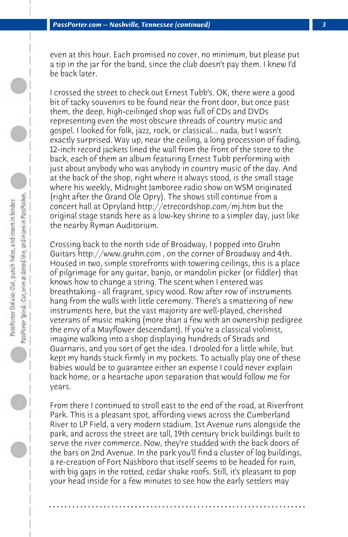even at this hour. Each promised no cover, no minimum, but please put a tip in the jar for the band, since the club doesn't pay them. I knew I'd be back later.

I crossed the street to check out Ernest Tubb's. OK, there were a good bit of tacky souvenirs to be found near the front door, but once past them, the deep, high-ceilinged shop was full of CDs and DVDs representing even the most obscure threads of country music and gospel. I looked for folk, jazz, rock, or classical... nada, but I wasn't exactly surprised. Way up, near the ceiling, a long procession of fading, 12-inch record jackets lined the wall from the front of the store to the back, each of them an album featuring Ernest Tubb performing with just about anybody who was anybody in country music of the day. And at the back of the shop, right where it always stood, is the small stage where his weekly, Midnight Jamboree radio show on WSM originated (right after the Grand Ole Opry). The shows still continue from a concert hall at Opryland http://etrecordshop.com/mj.htm but the original stage stands here as a low-key shrine to a simpler day, just like the nearby Ryman Auditorium.

Crossing back to the north side of Broadway, I popped into Gruhn Guitars http://www.gruhn.com , on the corner of Broadway and 4th. Housed in two, simple storefronts with towering ceilings, this is a place of pilgrimage for any guitar, banjo, or mandolin picker (or fiddler) that knows how to change a string. The scent when I entered was breathtaking - all fragrant, spicy wood. Row after row of instruments hang from the walls with little ceremony. There's a smattering of new instruments here, but the vast majority are well-played, cherished veterans of music making (more than a few with an ownership pedigree the envy of a Mayflower descendant). If you're a classical violinist, imagine walking into a shop displaying hundreds of Strads and Guarnaris, and you sort of get the idea. I drooled for a little while, but kept my hands stuck firmly in my pockets. To actually play one of these babies would be to guarantee either an expense I could never explain back home, or a heartache upon separation that would follow me for years.

From there I continued to stroll east to the end of the road, at Riverfront Park. This is a pleasant spot, affording views across the Cumberland River to LP Field, a very modern stadium. 1st Avenue runs alongside the park, and across the street are tall, 19th century brick buildings built to serve the river commerce. Now, they're studded with the back doors of the bars on 2nd Avenue. In the park you'll find a cluster of log buildings, a re-creation of Fort Nashboro that itself seems to be headed for ruin, with big gaps in the rotted, cedar shake roofs. Still, it's pleasant to pop your head inside for a few minutes to see how the early settlers may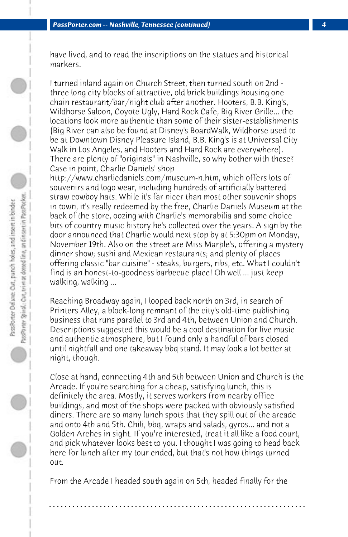have lived, and to read the inscriptions on the statues and historical markers.

I turned inland again on Church Street, then turned south on 2nd three long city blocks of attractive, old brick buildings housing one chain restaurant/bar/night club after another. Hooters, B.B. King's, Wildhorse Saloon, Coyote Ugly, Hard Rock Cafe, Big River Grille... the locations look more authentic than some of their sister-establishments (Big River can also be found at Disney's BoardWalk, Wildhorse used to be at Downtown Disney Pleasure Island, B.B. King's is at Universal City Walk in Los Angeles, and Hooters and Hard Rock are everywhere). There are plenty of "originals" in Nashville, so why bother with these? Case in point, Charlie Daniels' shop

http://www.charliedaniels.com/museum-n.htm, which offers lots of souvenirs and logo wear, including hundreds of artificially battered straw cowboy hats. While it's far nicer than most other souvenir shops in town, it's really redeemed by the free, Charlie Daniels Museum at the back of the store, oozing with Charlie's memorabilia and some choice bits of country music history he's collected over the years. A sign by the door announced that Charlie would next stop by at 5:30pm on Monday, November 19th. Also on the street are Miss Marple's, offering a mystery dinner show; sushi and Mexican restaurants; and plenty of places offering classic "bar cuisine" - steaks, burgers, ribs, etc. What I couldn't find is an honest-to-goodness barbecue place! Oh well ... just keep walking, walking ...

Reaching Broadway again, I looped back north on 3rd, in search of Printers Alley, a block-long remnant of the city's old-time publishing business that runs parallel to 3rd and 4th, between Union and Church. Descriptions suggested this would be a cool destination for live music and authentic atmosphere, but I found only a handful of bars closed until nightfall and one takeaway bbq stand. It may look a lot better at night, though.

Close at hand, connecting 4th and 5th between Union and Church is the Arcade. If you're searching for a cheap, satisfying lunch, this is definitely the area. Mostly, it serves workers from nearby office buildings, and most of the shops were packed with obviously satisfied diners. There are so many lunch spots that they spill out of the arcade and onto 4th and 5th. Chili, bbq, wraps and salads, gyros... and not a Golden Arches in sight. If you're interested, treat it all like a food court, and pick whatever looks best to you. I thought I was going to head back here for lunch after my tour ended, but that's not how things turned out.

From the Arcade I headed south again on 5th, headed finally for the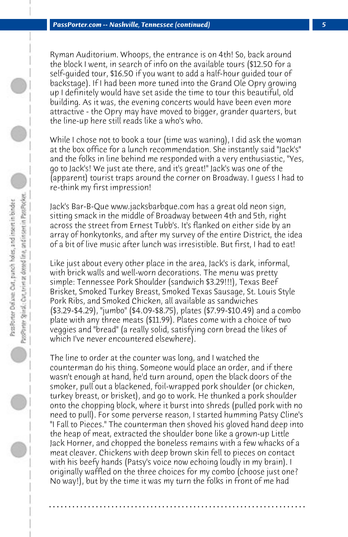Ryman Auditorium. Whoops, the entrance is on 4th! So, back around the block I went, in search of info on the available tours (\$12.50 for a self-guided tour, \$16.50 if you want to add a half-hour guided tour of backstage). If I had been more tuned into the Grand Ole Opry growing up I definitely would have set aside the time to tour this beautiful, old building. As it was, the evening concerts would have been even more attractive - the Opry may have moved to bigger, grander quarters, but the line-up here still reads like a who's who.

While I chose not to book a tour (time was waning), I did ask the woman at the box office for a lunch recommendation. She instantly said "Jack's" and the folks in line behind me responded with a very enthusiastic, "Yes, go to Jack's! We just ate there, and it's great!" Jack's was one of the (apparent) tourist traps around the corner on Broadway. I guess I had to re-think my first impression!

Jack's Bar-B-Que www.jacksbarbque.com has a great old neon sign, sitting smack in the middle of Broadway between 4th and 5th, right across the street from Ernest Tubb's. It's flanked on either side by an array of honkytonks, and after my survey of the entire District, the idea of a bit of live music after lunch was irresistible. But first, I had to eat!

Like just about every other place in the area, Jack's is dark, informal, with brick walls and well-worn decorations. The menu was pretty simple: Tennessee Pork Shoulder (sandwich \$3.29!!!), Texas Beef Brisket, Smoked Turkey Breast, Smoked Texas Sausage, St. Louis Style Pork Ribs, and Smoked Chicken, all available as sandwiches (\$3.29-\$4.29), "jumbo" (\$4.09-\$8.75), plates (\$7.99-\$10.49) and a combo plate with any three meats (\$11.99). Plates come with a choice of two veggies and "bread" (a really solid, satisfying corn bread the likes of which I've never encountered elsewhere).

The line to order at the counter was long, and I watched the counterman do his thing. Someone would place an order, and if there wasn't enough at hand, he'd turn around, open the black doors of the smoker, pull out a blackened, foil-wrapped pork shoulder (or chicken, turkey breast, or brisket), and go to work. He thunked a pork shoulder onto the chopping block, where it burst into shreds (pulled pork with no need to pull). For some perverse reason, I started humming Patsy Cline's "I Fall to Pieces." The counterman then shoved his gloved hand deep into the heap of meat, extracted the shoulder bone like a grown-up Little Jack Horner, and chopped the boneless remains with a few whacks of a meat cleaver. Chickens with deep brown skin fell to pieces on contact with his beefy hands (Patsy's voice now echoing loudly in my brain). I originally waffled on the three choices for my combo (choose just one? No way!), but by the time it was my turn the folks in front of me had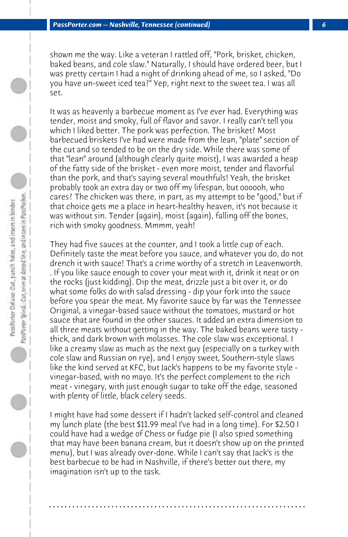shown me the way. Like a veteran I rattled off, "Pork, brisket, chicken, baked beans, and cole slaw." Naturally, I should have ordered beer, but I was pretty certain I had a night of drinking ahead of me, so I asked, "Do you have un-sweet iced tea?" Yep, right next to the sweet tea. I was all set.

It was as heavenly a barbecue moment as I've ever had. Everything was tender, moist and smoky, full of flavor and savor. I really can't tell you which I liked better. The pork was perfection. The brisket? Most barbecued briskets I've had were made from the lean, "plate" section of the cut and so tended to be on the dry side. While there was some of that "lean" around (although clearly quite moist), I was awarded a heap of the fatty side of the brisket - even more moist, tender and flavorful than the pork, and that's saying several mouthfuls! Yeah, the brisket probably took an extra day or two off my lifespan, but oooooh, who cares? The chicken was there, in part, as my attempt to be "good," but if that choice gets me a place in heart-healthy heaven, it's not because it was without sin. Tender (again), moist (again), falling off the bones, rich with smoky goodness. Mmmm, yeah!

They had five sauces at the counter, and I took a little cup of each. Definitely taste the meat before you sauce, and whatever you do, do not drench it with sauce! That's a crime worthy of a stretch in Leavenworth. . If you like sauce enough to cover your meat with it, drink it neat or on the rocks (just kidding). Dip the meat, drizzle just a bit over it, or do what some folks do with salad dressing - dip your fork into the sauce before you spear the meat. My favorite sauce by far was the Tennessee Original, a vinegar-based sauce without the tomatoes, mustard or hot sauce that are found in the other sauces. It added an extra dimension to all three meats without getting in the way. The baked beans were tasty thick, and dark brown with molasses. The cole slaw was exceptional. I like a creamy slaw as much as the next guy (especially on a turkey with cole slaw and Russian on rye), and I enjoy sweet, Southern-style slaws like the kind served at KFC, but Jack's happens to be my favorite style vinegar-based, with no mayo. It's the perfect complement to the rich meat - vinegary, with just enough sugar to take off the edge, seasoned with plenty of little, black celery seeds.

I might have had some dessert if I hadn't lacked self-control and cleaned my lunch plate (the best \$11.99 meal I've had in a long time). For \$2.50 I could have had a wedge of Chess or fudge pie (I also spied something that may have been banana cream, but it doesn't show up on the printed menu), but I was already over-done. While I can't say that Jack's is the best barbecue to be had in Nashville, if there's better out there, my imagination isn't up to the task.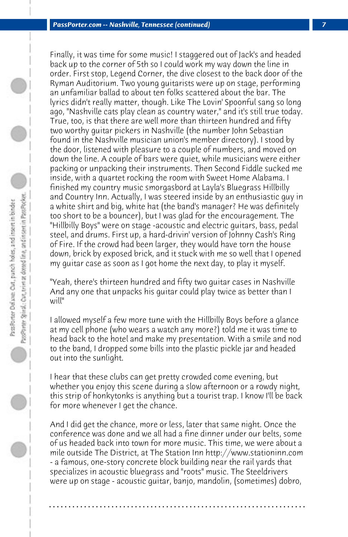Finally, it was time for some music! I staggered out of Jack's and headed back up to the corner of 5th so I could work my way down the line in order. First stop, Legend Corner, the dive closest to the back door of the Ryman Auditorium. Two young guitarists were up on stage, performing an unfamiliar ballad to about ten folks scattered about the bar. The lyrics didn't really matter, though. Like The Lovin' Spoonful sang so long ago, "Nashville cats play clean as country water," and it's still true today. True, too, is that there are well more than thirteen hundred and fifty two worthy guitar pickers in Nashville (the number John Sebastian found in the Nashville musician union's member directory). I stood by the door, listened with pleasure to a couple of numbers, and moved on down the line. A couple of bars were quiet, while musicians were either packing or unpacking their instruments. Then Second Fiddle sucked me inside, with a quartet rocking the room with Sweet Home Alabama. I finished my country music smorgasbord at Layla's Bluegrass Hillbilly and Country Inn. Actually, I was steered inside by an enthusiastic guy in a white shirt and big, white hat (the band's manager? He was definitely too short to be a bouncer), but I was glad for the encouragement. The "Hillbilly Boys" were on stage -acoustic and electric guitars, bass, pedal steel, and drums. First up, a hard-drivin' version of Johnny Cash's Ring of Fire. If the crowd had been larger, they would have torn the house down, brick by exposed brick, and it stuck with me so well that I opened my guitar case as soon as I got home the next day, to play it myself.

"Yeah, there's thirteen hundred and fifty two guitar cases in Nashville And any one that unpacks his guitar could play twice as better than I will"

I allowed myself a few more tune with the Hillbilly Boys before a glance at my cell phone (who wears a watch any more?) told me it was time to head back to the hotel and make my presentation. With a smile and nod to the band, I dropped some bills into the plastic pickle jar and headed out into the sunlight.

I hear that these clubs can get pretty crowded come evening, but whether you enjoy this scene during a slow afternoon or a rowdy night, this strip of honkytonks is anything but a tourist trap. I know I'll be back for more whenever I get the chance.

And I did get the chance, more or less, later that same night. Once the conference was done and we all had a fine dinner under our belts, some of us headed back into town for more music. This time, we were about a mile outside The District, at The Station Inn http://www.stationinn.com - a famous, one-story concrete block building near the rail yards that specializes in acoustic bluegrass and "roots" music. The Steeldrivers were up on stage - acoustic guitar, banjo, mandolin, (sometimes) dobro,